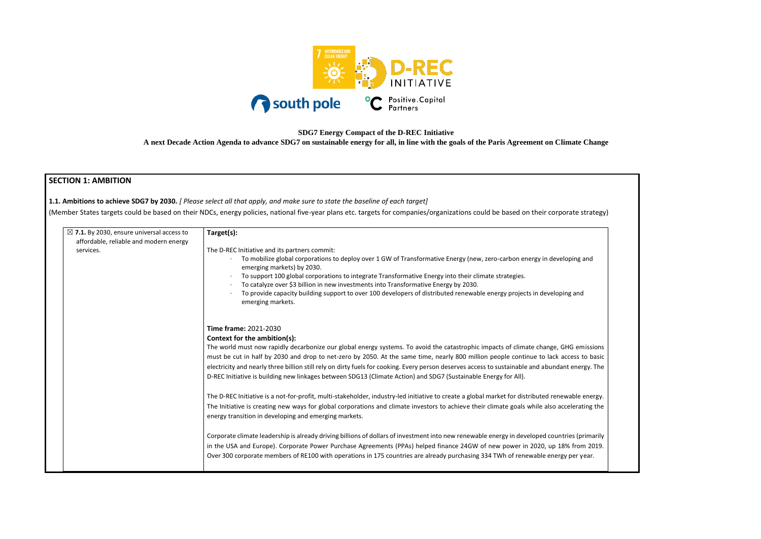

**SDG7 Energy Compact of the D-REC Initiative**

**A next Decade Action Agenda to advance SDG7 on sustainable energy for all, in line with the goals of the Paris Agreement on Climate Change**

## **SECTION 1: AMBITION**

**1.1. Ambitions to achieve SDG7 by 2030.** *[ Please select all that apply, and make sure to state the baseline of each target]* 

(Member States targets could be based on their NDCs, energy policies, national five-year plans etc. targets for companies/organizations could be based on their corporate

| $\boxtimes$ 7.1. By 2030, ensure universal access to<br>affordable, reliable and modern energy | Target(s):                                                                                                                                                                                                                                                                                                                                                                                                                                                                                                                                                                                                     |
|------------------------------------------------------------------------------------------------|----------------------------------------------------------------------------------------------------------------------------------------------------------------------------------------------------------------------------------------------------------------------------------------------------------------------------------------------------------------------------------------------------------------------------------------------------------------------------------------------------------------------------------------------------------------------------------------------------------------|
| services.                                                                                      | The D-REC Initiative and its partners commit:<br>To mobilize global corporations to deploy over 1 GW of Transformative Energy (new, zero-carbon energy in developing and<br>emerging markets) by 2030.<br>To support 100 global corporations to integrate Transformative Energy into their climate strategies.<br>To catalyze over \$3 billion in new investments into Transformative Energy by 2030.<br>To provide capacity building support to over 100 developers of distributed renewable energy projects in developing and<br>emerging markets.                                                           |
|                                                                                                | Time frame: 2021-2030<br>Context for the ambition(s):<br>The world must now rapidly decarbonize our global energy systems. To avoid the catastrophic impacts of climate change, GHG emissions<br>must be cut in half by 2030 and drop to net-zero by 2050. At the same time, nearly 800 million people continue to lack access to basic<br>electricity and nearly three billion still rely on dirty fuels for cooking. Every person deserves access to sustainable and abundant energy. The<br>D-REC Initiative is building new linkages between SDG13 (Climate Action) and SDG7 (Sustainable Energy for All). |
|                                                                                                | The D-REC Initiative is a not-for-profit, multi-stakeholder, industry-led initiative to create a global market for distributed renewable energy.<br>The Initiative is creating new ways for global corporations and climate investors to achieve their climate goals while also accelerating the<br>energy transition in developing and emerging markets.                                                                                                                                                                                                                                                      |
|                                                                                                | Corporate climate leadership is already driving billions of dollars of investment into new renewable energy in developed countries (primarily<br>in the USA and Europe). Corporate Power Purchase Agreements (PPAs) helped finance 24GW of new power in 2020, up 18% from 2019.<br>Over 300 corporate members of RE100 with operations in 175 countries are already purchasing 334 TWh of renewable energy per year.                                                                                                                                                                                           |

| e strategy)                           |  |
|---------------------------------------|--|
| າg and                                |  |
| ınd                                   |  |
|                                       |  |
| emissions<br>s to basic<br>nergy. The |  |
| le energy.<br>rating the              |  |
| (primarily<br>om 2019.<br>r year.     |  |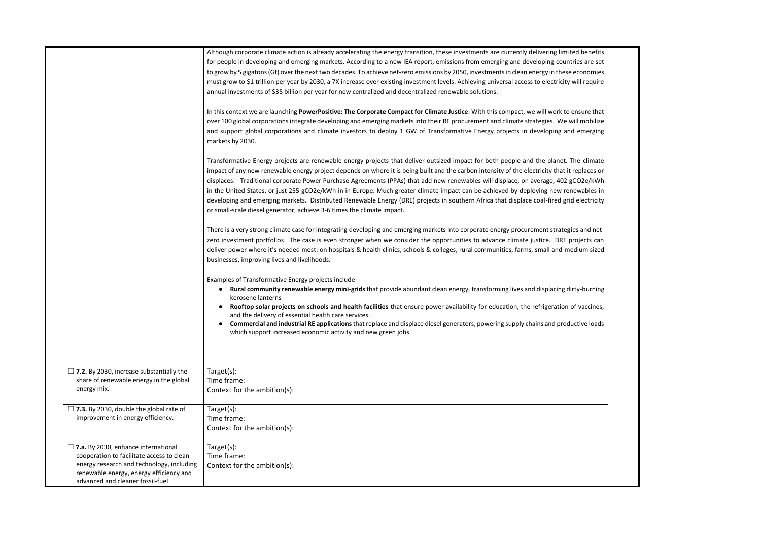|                                                                                                                                                                                                                     | Although corporate climate action is already accelerating the energy transition, these investments are currently delivering limited benefits<br>for people in developing and emerging markets. According to a new IEA report, emissions from emerging and developing countries are set<br>to grow by 5 gigatons (Gt) over the next two decades. To achieve net-zero emissions by 2050, investments in clean energy in these economies<br>must grow to \$1 trillion per year by 2030, a 7X increase over existing investment levels. Achieving universal access to electricity will require<br>annual investments of \$35 billion per year for new centralized and decentralized renewable solutions.<br>In this context we are launching PowerPositive: The Corporate Compact for Climate Justice. With this compact, we will work to ensure that<br>over 100 global corporations integrate developing and emerging markets into their RE procurement and climate strategies. We will mobilize<br>and support global corporations and climate investors to deploy 1 GW of Transformative Energy projects in developing and emerging<br>markets by 2030.<br>Transformative Energy projects are renewable energy projects that deliver outsized impact for both people and the planet. The climate<br>impact of any new renewable energy project depends on where it is being built and the carbon intensity of the electricity that it replaces or<br>displaces. Traditional corporate Power Purchase Agreements (PPAs) that add new renewables will displace, on average, 402 gCO2e/kWh<br>in the United States, or just 255 gCO2e/kWh in in Europe. Much greater climate impact can be achieved by deploying new renewables in<br>developing and emerging markets. Distributed Renewable Energy (DRE) projects in southern Africa that displace coal-fired grid electricity<br>or small-scale diesel generator, achieve 3-6 times the climate impact. |
|---------------------------------------------------------------------------------------------------------------------------------------------------------------------------------------------------------------------|--------------------------------------------------------------------------------------------------------------------------------------------------------------------------------------------------------------------------------------------------------------------------------------------------------------------------------------------------------------------------------------------------------------------------------------------------------------------------------------------------------------------------------------------------------------------------------------------------------------------------------------------------------------------------------------------------------------------------------------------------------------------------------------------------------------------------------------------------------------------------------------------------------------------------------------------------------------------------------------------------------------------------------------------------------------------------------------------------------------------------------------------------------------------------------------------------------------------------------------------------------------------------------------------------------------------------------------------------------------------------------------------------------------------------------------------------------------------------------------------------------------------------------------------------------------------------------------------------------------------------------------------------------------------------------------------------------------------------------------------------------------------------------------------------------------------------------------------------------------------------------------------------------------------------------------------------------|
|                                                                                                                                                                                                                     | There is a very strong climate case for integrating developing and emerging markets into corporate energy procurement strategies and net-<br>zero investment portfolios. The case is even stronger when we consider the opportunities to advance climate justice. DRE projects can<br>deliver power where it's needed most: on hospitals & health clinics, schools & colleges, rural communities, farms, small and medium sized<br>businesses, improving lives and livelihoods.                                                                                                                                                                                                                                                                                                                                                                                                                                                                                                                                                                                                                                                                                                                                                                                                                                                                                                                                                                                                                                                                                                                                                                                                                                                                                                                                                                                                                                                                        |
|                                                                                                                                                                                                                     | Examples of Transformative Energy projects include<br>Rural community renewable energy mini-grids that provide abundant clean energy, transforming lives and displacing dirty-burning<br>kerosene lanterns<br>Rooftop solar projects on schools and health facilities that ensure power availability for education, the refrigeration of vaccines,<br>and the delivery of essential health care services.<br>Commercial and industrial RE applications that replace and displace diesel generators, powering supply chains and productive loads<br>which support increased economic activity and new green jobs                                                                                                                                                                                                                                                                                                                                                                                                                                                                                                                                                                                                                                                                                                                                                                                                                                                                                                                                                                                                                                                                                                                                                                                                                                                                                                                                        |
| $\Box$ 7.2. By 2030, increase substantially the<br>share of renewable energy in the global<br>energy mix.                                                                                                           | Target $(s)$ :<br>Time frame:<br>Context for the ambition(s):                                                                                                                                                                                                                                                                                                                                                                                                                                                                                                                                                                                                                                                                                                                                                                                                                                                                                                                                                                                                                                                                                                                                                                                                                                                                                                                                                                                                                                                                                                                                                                                                                                                                                                                                                                                                                                                                                          |
| $\Box$ 7.3. By 2030, double the global rate of<br>improvement in energy efficiency.                                                                                                                                 | Target(s):<br>Time frame:<br>Context for the ambition(s):                                                                                                                                                                                                                                                                                                                                                                                                                                                                                                                                                                                                                                                                                                                                                                                                                                                                                                                                                                                                                                                                                                                                                                                                                                                                                                                                                                                                                                                                                                                                                                                                                                                                                                                                                                                                                                                                                              |
| $\Box$ 7.a. By 2030, enhance international<br>cooperation to facilitate access to clean<br>energy research and technology, including<br>renewable energy, energy efficiency and<br>advanced and cleaner fossil-fuel | Target(s):<br>Time frame:<br>Context for the ambition(s):                                                                                                                                                                                                                                                                                                                                                                                                                                                                                                                                                                                                                                                                                                                                                                                                                                                                                                                                                                                                                                                                                                                                                                                                                                                                                                                                                                                                                                                                                                                                                                                                                                                                                                                                                                                                                                                                                              |

| d benefits   |  |
|--------------|--|
| ies are set  |  |
|              |  |
| economies    |  |
| vill require |  |
|              |  |
|              |  |
| nsure that   |  |
| Il mobilize  |  |
| emerging     |  |
|              |  |
|              |  |
| ne climate   |  |
| eplaces or   |  |
| :O2e/kWh     |  |
| ewables in   |  |
| electricity  |  |
|              |  |
|              |  |
| s and net-   |  |
| ojects can   |  |
|              |  |
| dium sized   |  |
|              |  |
|              |  |
|              |  |
| ty-burning   |  |
| f vaccines,  |  |
|              |  |
| ctive loads  |  |
|              |  |
|              |  |
|              |  |
|              |  |
|              |  |
|              |  |
|              |  |
|              |  |
|              |  |
|              |  |
|              |  |
|              |  |
|              |  |
|              |  |
|              |  |
|              |  |
|              |  |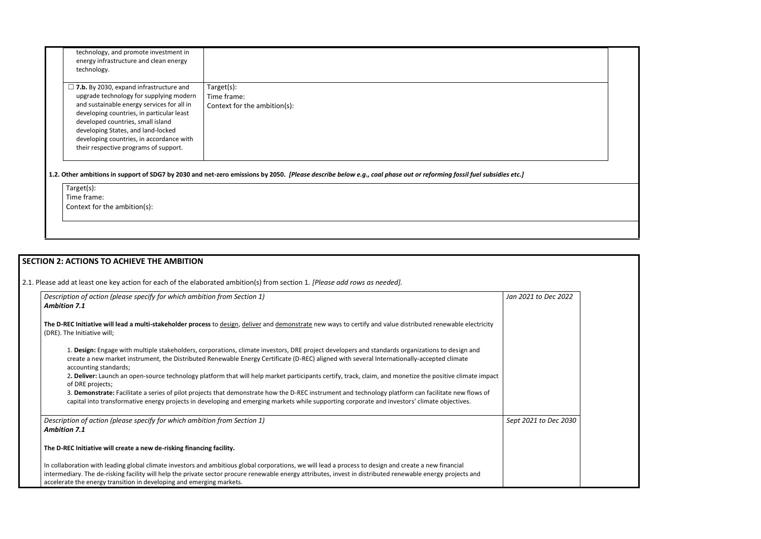| technology, and promote investment in<br>energy infrastructure and clean energy<br>technology.                                                                                                                                                                                                                                                       |                                                                                                                                                                      |
|------------------------------------------------------------------------------------------------------------------------------------------------------------------------------------------------------------------------------------------------------------------------------------------------------------------------------------------------------|----------------------------------------------------------------------------------------------------------------------------------------------------------------------|
| $\Box$ 7.b. By 2030, expand infrastructure and<br>upgrade technology for supplying modern<br>and sustainable energy services for all in<br>developing countries, in particular least<br>developed countries, small island<br>developing States, and land-locked<br>developing countries, in accordance with<br>their respective programs of support. | Target(s):<br>Time frame:<br>Context for the ambition(s):                                                                                                            |
| Target(s):<br>Time frame:<br>Context for the ambition(s):                                                                                                                                                                                                                                                                                            | 1.2. Other ambitions in support of SDG7 by 2030 and net-zero emissions by 2050. [Please describe below e.g., coal phase out or reforming fossil fuel subsidies etc.] |

# **SECTION 2: ACTIONS TO ACHIEVE THE AMBITION**  2.1. Please add at least one key action for each of the elaborated ambition(s) from section 1. *[Please add rows as needed]. Description of action (please specify for which ambition from Section 1) Ambition 7.1* **The D-REC Initiative will lead a multi-stakeholder process** to design, deliver and demonstrate new ways to certify and value distributed renewable electricity (DRE). The Initiative will; 1. **Design:** Engage with multiple stakeholders, corporations, climate investors, DRE project developers and standards organizations to design and create a new market instrument, the Distributed Renewable Energy Certificate (D-REC) aligned with several Internationally-accepted climate accounting standards; 2**. Deliver:** Launch an open-source technology platform that will help market participants certify, track, claim, and monetize the positive climate impact of DRE projects; 3. **Demonstrate:** Facilitate a series of pilot projects that demonstrate how the D-REC instrument and technology platform can facilitate new flows of capital into transformative energy projects in developing and emerging markets while supporting corporate and investors' climate objectives. *Jan 2021 to Dec 2022 Description of action (please specify for which ambition from Section 1) Ambition 7.1* **The D-REC Initiative will create a new de-risking financing facility.**  In collaboration with leading global climate investors and ambitious global corporations, we will lead a process to design and create a new financial intermediary. The de-risking facility will help the private sector procure renewable energy attributes, invest in distributed renewable energy projects and accelerate the energy transition in developing and emerging markets. *Sept 2021 to Dec 2030*

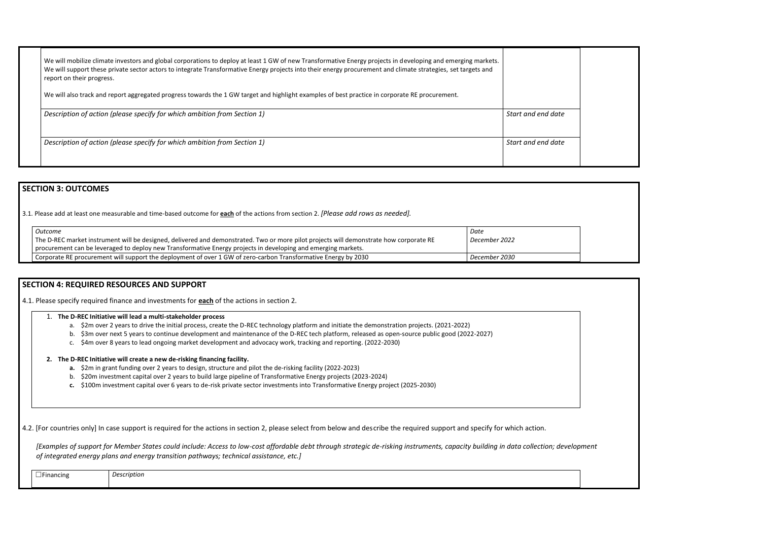| We will mobilize climate investors and global corporations to deploy at least 1 GW of new Transformative Energy projects in developing and emerging markets.<br>We will support these private sector actors to integrate Transformative Energy projects into their energy procurement and climate strategies, set targets and<br>report on their progress. |                    |
|------------------------------------------------------------------------------------------------------------------------------------------------------------------------------------------------------------------------------------------------------------------------------------------------------------------------------------------------------------|--------------------|
| We will also track and report aggregated progress towards the 1 GW target and highlight examples of best practice in corporate RE procurement.                                                                                                                                                                                                             |                    |
| Description of action (please specify for which ambition from Section 1)                                                                                                                                                                                                                                                                                   | Start and end date |
| Description of action (please specify for which ambition from Section 1)                                                                                                                                                                                                                                                                                   | Start and end date |
|                                                                                                                                                                                                                                                                                                                                                            |                    |

## **SECTION 3: OUTCOMES**

3.1*.* Please add at least one measurable and time-based outcome for **each** of the actions from section 2. *[Please add rows as needed].*

| Outcome                                                                                                                                | Date          |
|----------------------------------------------------------------------------------------------------------------------------------------|---------------|
| The D-REC market instrument will be designed, delivered and demonstrated. Two or more pilot projects will demonstrate how corporate RE | December 2022 |
| procurement can be leveraged to deploy new Transformative Energy projects in developing and emerging markets.                          |               |
| Corporate RE procurement will support the deployment of over 1 GW of zero-carbon Transformative Energy by 2030                         | December 2030 |

## **SECTION 4: REQUIRED RESOURCES AND SUPPORT**

4.1. Please specify required finance and investments for **each** of the actions in section 2.

#### 1. **The D-REC Initiative will lead a multi-stakeholder process**

- a. \$2m over 2 years to drive the initial process, create the D-REC technology platform and initiate the demonstration projects. (2021-2022)
- b. \$3m over next 5 years to continue development and maintenance of the D-REC tech platform, released as open-source public good (2022-2027)
- c. \$4m over 8 years to lead ongoing market development and advocacy work, tracking and reporting. (2022-2030)

### **2. The D-REC Initiative will create a new de-risking financing facility.**

- **a.** \$2m in grant funding over 2 years to design, structure and pilot the de-risking facility (2022-2023)
- b. \$20m investment capital over 2 years to build large pipeline of Transformative Energy projects (2023-2024)
- **c.** \$100m investment capital over 6 years to de-risk private sector investments into Transformative Energy project (2025-2030)

4.2. [For countries only] In case support is required for the actions in section 2, please select from below and describe the required support and specify for which action.

*[Examples of support for Member States could include: Access to low-cost affordable debt through strategic de-risking instruments, capacity building in data collection; development of integrated energy plans and energy transition pathways; technical assistance, etc.]*

| Financing | $\sim$      |
|-----------|-------------|
|           | Description |
|           |             |





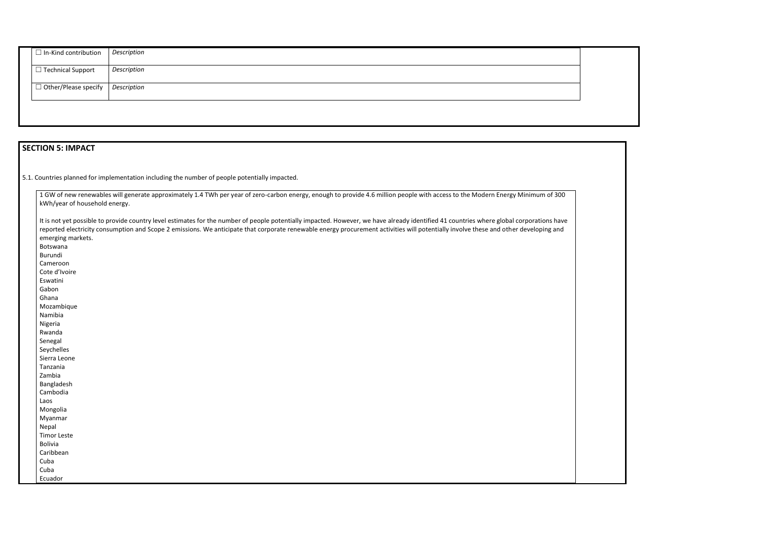| $\Box$ In-Kind contribution             | Description |
|-----------------------------------------|-------------|
| $\Box$ Technical Support                | Description |
| $\Box$ Other/Please specify Description |             |
|                                         |             |

# **SECTION 5: IMPACT**

 $\blacksquare$ 

5.1. Countries planned for implementation including the number of people potentially impacted.

|       | 1 GW of new renewables will generate approximately 1.4 TWh per year of zero-carbon energy, enough to provide 4.6 million people with access to the Modern Energy Minimum of 300<br>kWh/year of household energy.                                                                                                                                                                                      |
|-------|-------------------------------------------------------------------------------------------------------------------------------------------------------------------------------------------------------------------------------------------------------------------------------------------------------------------------------------------------------------------------------------------------------|
|       | It is not yet possible to provide country level estimates for the number of people potentially impacted. However, we have already identified 41 countries where global corporations have<br>reported electricity consumption and Scope 2 emissions. We anticipate that corporate renewable energy procurement activities will potentially involve these and other developing and<br>emerging markets. |
|       | Botswana                                                                                                                                                                                                                                                                                                                                                                                              |
|       | Burundi                                                                                                                                                                                                                                                                                                                                                                                               |
|       | Cameroon                                                                                                                                                                                                                                                                                                                                                                                              |
|       | Cote d'Ivoire                                                                                                                                                                                                                                                                                                                                                                                         |
|       | Eswatini                                                                                                                                                                                                                                                                                                                                                                                              |
|       | Gabon                                                                                                                                                                                                                                                                                                                                                                                                 |
|       | Ghana                                                                                                                                                                                                                                                                                                                                                                                                 |
|       | Mozambique                                                                                                                                                                                                                                                                                                                                                                                            |
|       | Namibia                                                                                                                                                                                                                                                                                                                                                                                               |
|       | Nigeria                                                                                                                                                                                                                                                                                                                                                                                               |
|       | Rwanda                                                                                                                                                                                                                                                                                                                                                                                                |
|       | Senegal                                                                                                                                                                                                                                                                                                                                                                                               |
|       | Seychelles                                                                                                                                                                                                                                                                                                                                                                                            |
|       | Sierra Leone                                                                                                                                                                                                                                                                                                                                                                                          |
|       | Tanzania                                                                                                                                                                                                                                                                                                                                                                                              |
|       | Zambia                                                                                                                                                                                                                                                                                                                                                                                                |
|       | Bangladesh                                                                                                                                                                                                                                                                                                                                                                                            |
|       | Cambodia                                                                                                                                                                                                                                                                                                                                                                                              |
| Laos  |                                                                                                                                                                                                                                                                                                                                                                                                       |
|       | Mongolia                                                                                                                                                                                                                                                                                                                                                                                              |
|       | Myanmar                                                                                                                                                                                                                                                                                                                                                                                               |
| Nepal |                                                                                                                                                                                                                                                                                                                                                                                                       |
|       | <b>Timor Leste</b>                                                                                                                                                                                                                                                                                                                                                                                    |
|       | <b>Bolivia</b>                                                                                                                                                                                                                                                                                                                                                                                        |
|       | Caribbean                                                                                                                                                                                                                                                                                                                                                                                             |
| Cuba  |                                                                                                                                                                                                                                                                                                                                                                                                       |
| Cuba  |                                                                                                                                                                                                                                                                                                                                                                                                       |
|       | Ecuador                                                                                                                                                                                                                                                                                                                                                                                               |

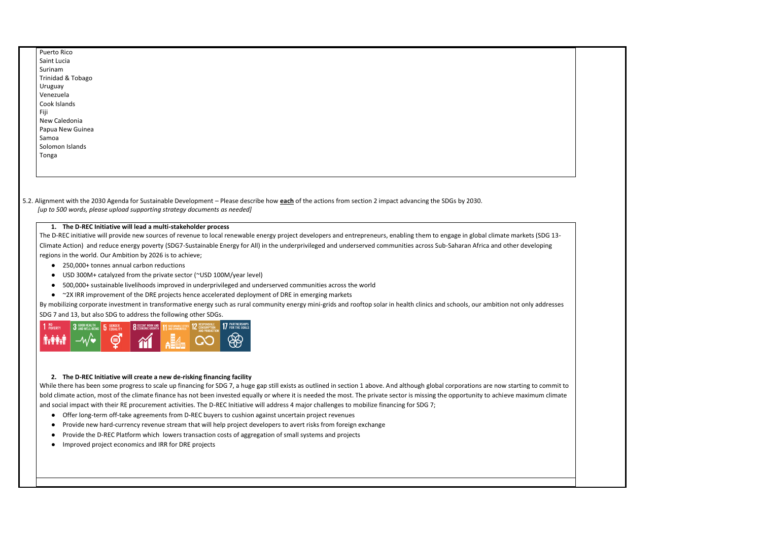| Puerto Rico                  |  |  |
|------------------------------|--|--|
| Saint Lucia                  |  |  |
| Surinam                      |  |  |
| <b>Trinidad &amp; Tobago</b> |  |  |
| Uruguay                      |  |  |
| Venezuela                    |  |  |
| Cook Islands                 |  |  |
| Fiji                         |  |  |
| New Caledonia                |  |  |
| Papua New Guinea             |  |  |
| Samoa                        |  |  |
| Solomon Islands              |  |  |
| Tonga                        |  |  |
|                              |  |  |
|                              |  |  |
|                              |  |  |
|                              |  |  |

5.2. Alignment with the 2030 Agenda for Sustainable Development – Please describe how **each** of the actions from section 2 impact advancing the SDGs by 2030. *[up to 500 words, please upload supporting strategy documents as needed]* 

#### **1. The D-REC Initiative will lead a multi-stakeholder process**

- 250,000+ tonnes annual carbon reductions
- USD 300M+ catalyzed from the private sector (~USD 100M/year level)
- 500,000+ sustainable livelihoods improved in underprivileged and underserved communities across the world
- ~2X IRR improvement of the DRE projects hence accelerated deployment of DRE in emerging markets

The D-REC initiative will provide new sources of revenue to local renewable energy project developers and entrepreneurs, enabling them to engage in global climate markets (SDG 13- Climate Action) and reduce energy poverty (SDG7-Sustainable Energy for All) in the underprivileged and underserved communities across Sub-Saharan Africa and other developing regions in the world. Our Ambition by 2026 is to achieve;

By mobilizing corporate investment in transformative energy such as rural community energy mini-grids and rooftop solar in health clinics and schools, our ambition not only addresses SDG 7 and 13, but also SDG to address the following other SDGs.



#### **2. The D-REC Initiative will create a new de-risking financing facility**

While there has been some progress to scale up financing for SDG 7, a huge gap still exists as outlined in section 1 above. And although global corporations are now starting to commit to bold climate action, most of the climate finance has not been invested equally or where it is needed the most. The private sector is missing the opportunity to achieve maximum climate and social impact with their RE procurement activities. The D-REC Initiative will address 4 major challenges to mobilize financing for SDG 7;

- Offer long-term off-take agreements from D-REC buyers to cushion against uncertain project revenues
- Provide new hard-currency revenue stream that will help project developers to avert risks from foreign exchange
- Provide the D-REC Platform which lowers transaction costs of aggregation of small systems and projects
- Improved project economics and IRR for DRE projects

 $\mathbf I$ 

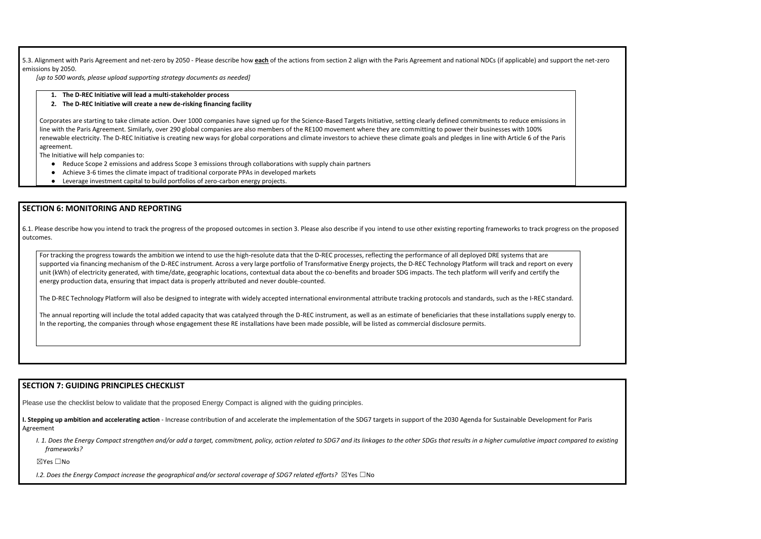5.3. Alignment with Paris Agreement and net-zero by 2050 - Please describe how **each** of the actions from section 2 align with the Paris Agreement and national NDCs (if applicable) and support the net-zero emissions by 2050.

*[up to 500 words, please upload supporting strategy documents as needed]* 

**1. The D-REC Initiative will lead a multi-stakeholder process**

#### **2. The D-REC Initiative will create a new de-risking financing facility**

Corporates are starting to take climate action. Over 1000 companies have signed up for the Science-Based Targets Initiative, setting clearly defined commitments to reduce emissions in line with the Paris Agreement. Similarly, over 290 global companies are also members of the RE100 movement where they are committing to power their businesses with 100% renewable electricity. The D-REC Initiative is creating new ways for global corporations and climate investors to achieve these climate goals and pledges in line with Article 6 of the Paris agreement.

The Initiative will help companies to:

- Reduce Scope 2 emissions and address Scope 3 emissions through collaborations with supply chain partners
- Achieve 3-6 times the climate impact of traditional corporate PPAs in developed markets
- Leverage investment capital to build portfolios of zero-carbon energy projects.

### **SECTION 6: MONITORING AND REPORTING**

The annual reporting will include the total added capacity that was catalyzed through the D-REC instrument, as well as an estimate of beneficiaries that these installations supply energy to. In the reporting, the companies through whose engagement these RE installations have been made possible, will be listed as commercial disclosure permits.

6.1. Please describe how you intend to track the progress of the proposed outcomes in section 3. Please also describe if you intend to use other existing reporting frameworks to track progress on the proposed outcomes.

**I. Stepping up ambition and accelerating action** - Increase contribution of and accelerate the implementation of the SDG7 targets in support of the 2030 Agenda for Sustainable Development for Paris Agreement

I. 1. Does the Energy Compact strengthen and/or add a target, commitment, policy, action related to SDG7 and its linkages to the other SDGs that results in a higher cumulative impact compared to existing *frameworks?* 

For tracking the progress towards the ambition we intend to use the high-resolute data that the D-REC processes, reflecting the performance of all deployed DRE systems that are supported via financing mechanism of the D-REC instrument. Across a very large portfolio of Transformative Energy projects, the D-REC Technology Platform will track and report on every unit (kWh) of electricity generated, with time/date, geographic locations, contextual data about the co-benefits and broader SDG impacts. The tech platform will verify and certify the energy production data, ensuring that impact data is properly attributed and never double-counted.

The D-REC Technology Platform will also be designed to integrate with widely accepted international environmental attribute tracking protocols and standards, such as the I-REC standard.

### **SECTION 7: GUIDING PRINCIPLES CHECKLIST**

Please use the checklist below to validate that the proposed Energy Compact is aligned with the guiding principles.

☒Yes ☐No

*I.2. Does the Energy Compact increase the geographical and/or sectoral coverage of SDG7 related efforts?* ⊠Yes □No

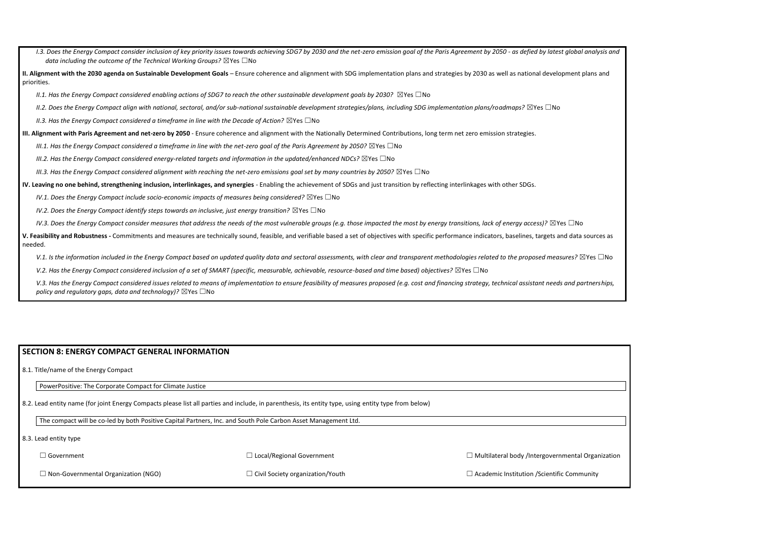I.3. Does the Energy Compact consider inclusion of key priority issues towards achieving SDG7 by 2030 and the net-zero emission goal of the Paris Agreement by 2050 - as defied by latest gloi *data including the outcome of the Technical Working Groups?* ⊠Yes □No II. Alignment with the 2030 agenda on Sustainable Development Goals – Ensure coherence and alignment with SDG implementation plans and strategies by 2030 as well as national development priorities. *II.1. Has the Energy Compact considered enabling actions of SDG7 to reach the other sustainable development goals by 2030?* ⊠Yes □No *II.2. Does the Energy Compact align with national, sectoral, and/or sub-national sustainable development strategies/plans, including SDG implementation plans/roadmaps?* ☒Yes ☐No *II.3. Has the Energy Compact considered a timeframe in line with the Decade of Action?* ⊠Yes □No **III. Alignment with Paris Agreement and net-zero by 2050** - Ensure coherence and alignment with the Nationally Determined Contributions, long term net zero emission strategies. *III.1. Has the Energy Compact considered a timeframe in line with the net-zero goal of the Paris Agreement by 2050?* ⊠Yes □No *III.2. Has the Energy Compact considered energy-related targets and information in the updated/enhanced NDCs?* ⊠Yes □No *III.3. Has the Energy Compact considered alignment with reaching the net-zero emissions goal set by many countries by 2050?* ⊠Yes □No **IV. Leaving no one behind, strengthening inclusion, interlinkages, and synergies** - Enabling the achievement of SDGs and just transition by reflecting interlinkages with other SDGs. *IV.1. Does the Energy Compact include socio-economic impacts of measures being considered?* ⊠Yes □No *IV.2. Does the Energy Compact identify steps towards an inclusive, just energy transition?* ⊠Yes □No *IV.3. Does the Energy Compact consider measures that address the needs of the most vulnerable groups (e.g. those impacted the most by energy transitions, lack of energy access)?* ⊠Yes □ V. Feasibility and Robustness - Commitments and measures are technically sound, feasible, and verifiable based a set of objectives with specific performance indicators, baselines, targets and data baselines, targets and da needed. V.1. Is the information included in the Energy Compact based on updated quality data and sectoral assessments, with clear and transparent methodologies related to the proposed measures? *V.2. Has the Energy Compact considered inclusion of a set of SMART (specific, measurable, achievable, resource-based and time based) objectives?* ⊠Yes □No V.3. Has the Energy Compact considered issues related to means of implementation to ensure feasibility of measures proposed (e.g. cost and financing strategy, technical assistant needs and

## **SECTION 8: ENERGY COMPACT GENERAL INFORMATION**

*policy and regulatory gaps, data and technology)?* ⊠Yes □No

8.1. Title/name of the Energy Compact

PowerPositive: The Corporate Compact for Climate Justice

8.2. Lead entity name (for joint Energy Compacts please list all parties and include, in parenthesis, its entity type, using entity type from below)

The compact will be co-led by both Positive Capital Partners, Inc. and South Pole Carbon Asset Management Ltd.

8.3. Lead entity type

☐ Government

☐ Local/Regional Government

 $\Box$  Multilateral body /Intergovernment

 $\Box$  Non-Governmental Organization (NGO)

☐ Civil Society organization/Youth

 $\Box$  Academic Institution /Scientific Cor

| bal analysis and |  |
|------------------|--|
| nt plans and     |  |
|                  |  |
|                  |  |
|                  |  |
|                  |  |
|                  |  |
|                  |  |
|                  |  |
|                  |  |
| No               |  |
| ata sources as   |  |
| ? ⊠Yes □No       |  |
| l partnerships,  |  |
|                  |  |
|                  |  |
|                  |  |
|                  |  |
|                  |  |
|                  |  |
|                  |  |
|                  |  |
|                  |  |
| tal Organization |  |
| mmunity          |  |